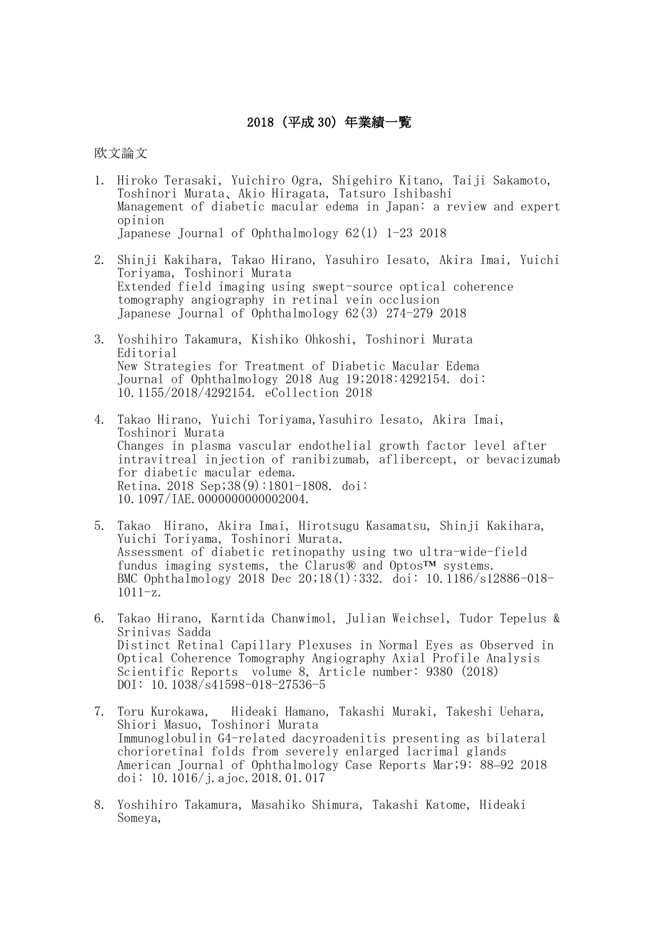## 2018(平成 30)年業績一覧

欧文論文

- 1. Hiroko Terasaki, Yuichiro Ogra, Shigehiro Kitano, Taiji Sakamoto, Toshinori Murata、Akio Hiragata, Tatsuro Ishibashi Management of diabetic macular edema in Japan: a review and expert opinion Japanese Journal of Ophthalmology 62(1) 1-23 2018
- 2. Shinji Kakihara, Takao Hirano, Yasuhiro Iesato, Akira Imai, Yuichi Toriyama, Toshinori Murata Extended field imaging using swept-source optical coherence tomography angiography in retinal vein occlusion Japanese Journal of Ophthalmology 62(3) 274-279 2018
- 3. Yoshihiro Takamura, Kishiko Ohkoshi, Toshinori Murata Editorial New Strategies for Treatment of Diabetic Macular Edema Journal of Ophthalmology 2018 Aug 19;2018:4292154. doi: 10.1155/2018/4292154. eCollection 2018
- 4. Takao Hirano, Yuichi Toriyama,Yasuhiro Iesato, Akira Imai, Toshinori Murata Changes in plasma vascular endothelial growth factor level after intravitreal injection of ranibizumab, aflibercept, or bevacizumab for diabetic macular edema. Retina. 2018 Sep;38(9):1801-1808. doi: 10.1097/IAE.0000000000002004.
- 5. Takao Hirano, Akira Imai, Hirotsugu Kasamatsu, Shinji Kakihara, Yuichi Toriyama, Toshinori Murata. Assessment of diabetic retinopathy using two ultra-wide-field fundus imaging systems, the Clarus® and Optos™ systems. BMC Ophthalmology 2018 Dec 20;18(1):332. doi: 10.1186/s12886-018-  $1011-z.$
- 6. Takao Hirano, Karntida Chanwimol, Julian Weichsel, Tudor Tepelus & Srinivas Sadda Distinct Retinal Capillary Plexuses in Normal Eyes as Observed in Optical Coherence Tomography Angiography Axial Profile Analysis Scientific Reports volume 8, Article number: 9380 (2018) DOI: 10.1038/s41598-018-27536-5
- 7. Toru Kurokawa, Hideaki Hamano, Takashi Muraki, Takeshi Uehara, Shiori Masuo, Toshinori Murata Immunoglobulin G4-related dacyroadenitis presenting as bilateral chorioretinal folds from severely enlarged lacrimal glands American Journal of Ophthalmology Case Reports Mar;9: 88–92 2018 doi: 10.1016/j.ajoc.2018.01.017
- 8. Yoshihiro Takamura, Masahiko Shimura, Takashi Katome, Hideaki Someya,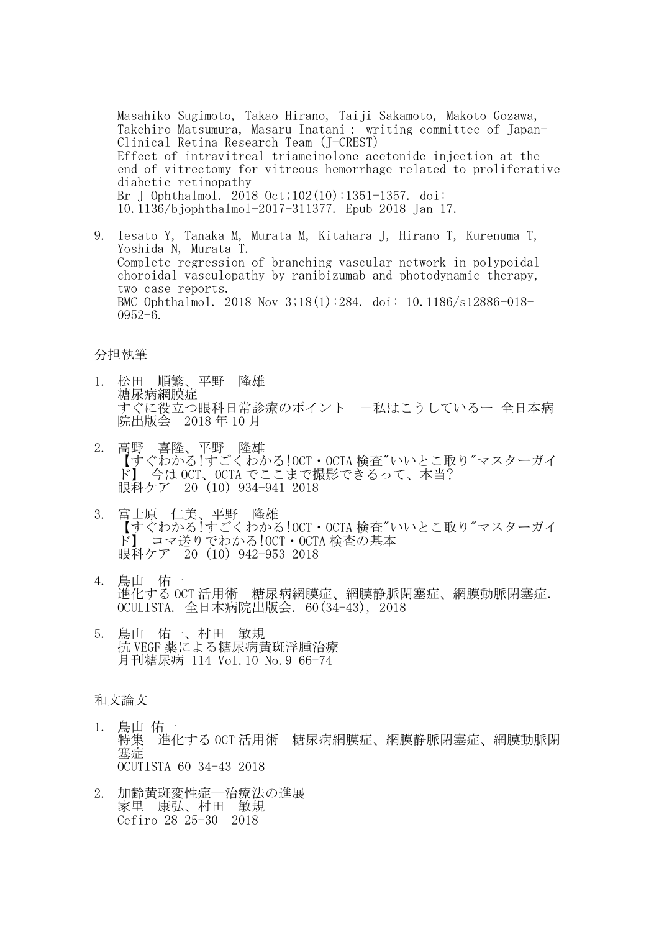Masahiko Sugimoto, Takao Hirano, Taiji Sakamoto, Makoto Gozawa, Takehiro Matsumura, Masaru Inatani: writing committee of Japan-Clinical Retina Research Team(J-CREST) Effect of intravitreal triamcinolone acetonide injection at the end of vitrectomy for vitreous hemorrhage related to proliferative diabetic retinopathy Br J Ophthalmol. 2018 Oct;102(10):1351-1357. doi: 10.1136/bjophthalmol-2017-311377. Epub 2018 Jan 17.

9. Iesato Y, Tanaka M, Murata M, Kitahara J, Hirano T, Kurenuma T, Yoshida N, Murata T. Complete regression of branching vascular network in polypoidal choroidal vasculopathy by ranibizumab and photodynamic therapy, two case reports. BMC Ophthalmol. 2018 Nov 3;18(1):284. doi: 10.1186/s12886-018- 0952-6.

## 分担執筆

- 1. 松田 順繁、平野 隆雄 糖尿病網膜症 すぐに役立つ眼科日常診療のポイント 一私はこうしているー 全日本病 院出版会 2018 年 10 月
- 2. 高野 喜隆、平野 隆雄 【すぐわかる!すごくわかる!OCT・OCTA 検査"いいとこ取り"マスターガイ ド】 今は OCT、OCTA でここまで撮影できるって、本当? 眼科ケア 20 (10) 934-941 2018
- 3. 富士原 仁美、平野 隆雄 【すぐわかる!すごくわかる!OCT・OCTA 検査"いいとこ取り"マスターガイ ド】 コマ送りでわかる!OCT・OCTA 検査の基本 眼科ケア 20 (10) 942-953 2018
- 4. 鳥山 佑一 進化する OCT 活用術 糖尿病網膜症、網膜静脈閉塞症、網膜動脈閉塞症. OCULISTA. 全日本病院出版会. 60(34-43), 2018
- 5. 鳥山 佑一、村田 敏規 抗 VEGF 薬による糖尿病黄斑浮腫治療 月刊糖尿病 114 Vol.10 No.9 66-74

## 和文論文

- 1. 鳥山 佑一 特集 進化する OCT 活用術 糖尿病網膜症、網膜静脈閉塞症、網膜動脈閉 塞症 OCUTISTA 60 34-43 2018
- 2. 加齢黄斑変性症―治療法の進展 家里 康弘、村田 敏規 Cefiro 28 25-30 2018